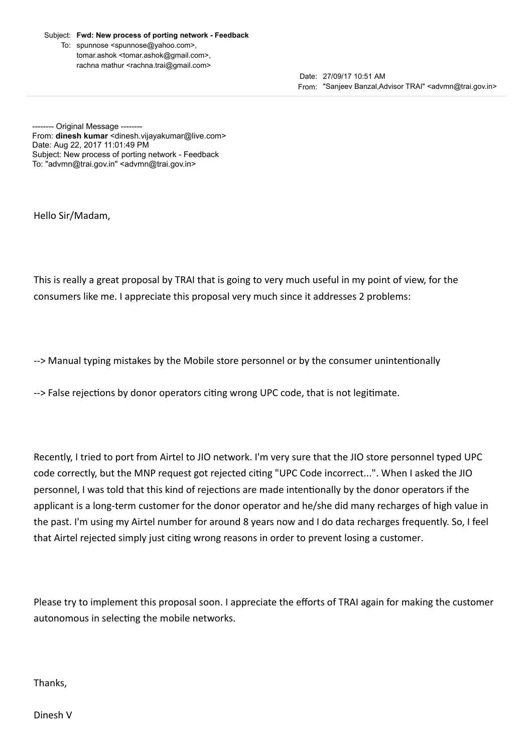Subject: Fwd: New process of porting network - Feedback

To: spunnose <spunnose@yahoo.com>, tomar.ashok <tomar.ashok@gmail.com>, rachna mathur <rachna.trai@gmail.com>

> Date: 27/09/17 10:51 AM From: "Sanjeev Banzal,Advisor TRAI" <advmn@trai.gov.in>

----- Original Message --------From: dinesh kumar <dinesh.vijayakumar@live.com> Date: Aug 22, 2017 11:01:49 PM Subject: New process of porting network - Feedback To: "advmn@trai.gov.in" <advmn@trai.gov.in>

Hello Sir/Madam,

This is really a great proposal by TRAI that is going to very much useful in my point of view, for the consumers like me. I appreciate this proposal very much since it addresses 2 problems:

--> Manual typing mistakes by the Mobile store personnel or by the consumer unintentionally

--> False rejections by donor operators citing wrong UPC code, that is not legitimate.

Recently, I tried to port from Airtel to JIO network. I'm very sure that the JIO store personnel typed UPC code correctly, but the MNP request got rejected citing "UPC Code incorrect...". When I asked the JIO personnel, I was told that this kind of rejections are made intentionally by the donor operators if the applicant is a long-term customer for the donor operator and he/she did many recharges of high value in the past. I'm using my Airtel number for around 8 years now and I do data recharges frequently. So, I feel that Airtel rejected simply just citing wrong reasons in order to prevent losing a customer.

Please try to implement this proposal soon. I appreciate the efforts of TRAI again for making the customer autonomous in selecting the mobile networks.

Thanks,

Dinesh V